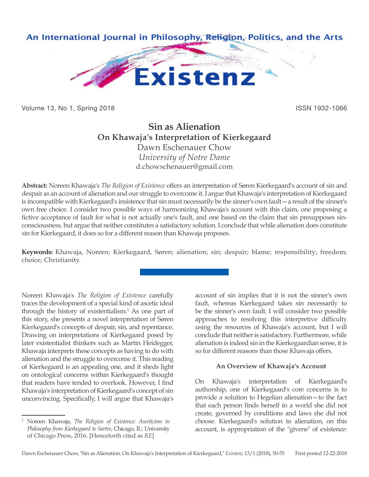

Volume 13, No 1, Spring 2018 **ISSN 1932-1066** ISSN 1932-1066

# **Sin as Alienation On Khawaja's Interpretation of Kierkegaard** Dawn Eschenauer Chow

*University of Notre Dame* d.chowschenauer@gmail.com

**Abstract:** Noreen Khawaja's *The Religion of Existence* offers an interpretation of Søren Kierkegaard's account of sin and despair as an account of alienation and our struggle to overcome it. I argue that Khawaja's interpretation of Kierkegaard is incompatible with Kierkegaard's insistence that sin must necessarily be the sinner's own fault—a result of the sinner's own free choice. I consider two possible ways of harmonizing Khawaja's account with this claim, one proposing a fictive acceptance of fault for what is not actually one's fault, and one based on the claim that sin presupposes sinconsciousness, but argue that neither constitutes a satisfactory solution. I conclude that while alienation does constitute sin for Kierkegaard, it does so for a different reason than Khawaja proposes.

**Keywords:** Khawaja, Noreen; Kierkegaard, Søren; alienation; sin; despair; blame; responsibility; freedom; choice; Christianity.

Noreen Khawaja's *The Religion of Existence* carefully traces the development of a special kind of ascetic ideal through the history of existentialism.<sup>1</sup> As one part of this story, she presents a novel interpretation of Søren Kierkegaard's concepts of despair, sin, and repentance. Drawing on interpretations of Kierkegaard posed by later existentialist thinkers such as Martin Heidegger, Khawaja interprets these concepts as having to do with alienation and the struggle to overcome it. This reading of Kierkegaard is an appealing one, and it sheds light on ontological concerns within Kierkegaard's thought that readers have tended to overlook. However, I find Khawaja's interpretation of Kierkegaard's concept of sin unconvincing. Specifically, I will argue that Khawaja's

account of sin implies that it is not the sinner's own fault, whereas Kierkegaard takes sin necessarily to be the sinner's own fault. I will consider two possible approaches to resolving this interpretive difficulty using the resources of Khawaja's account, but I will conclude that neither is satisfactory. Furthermore, while alienation is indeed sin in the Kierkegaardian sense, it is so for different reasons than those Khawaja offers.

# **An Overview of Khawaja's Account**

On Khawaja's interpretation of Kierkegaard's authorship, one of Kierkegaard's core concerns is to provide a solution to Hegelian alienation—to the fact that each person finds herself in a world she did not create, governed by conditions and laws she did not choose. Kierkegaard's solution to alienation, on this account, is appropriation of the "givens" of existence:

<sup>1</sup> Noreen Khawaja, *The Religion of Existence: Asceticism in Philosophy from Kierkegaard to Sartre*, Chicago, IL: University of Chicago Press, 2016. [Henceforth cited as *RE*]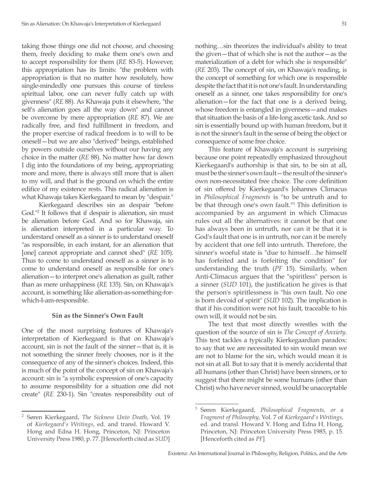taking those things one did not choose, and choosing them, freely deciding to make them one's own and to accept responsibility for them (*RE* 83-5). However, this appropriation has its limits: "the problem with appropriation is that no matter how resolutely, how single-mindedly one pursues this course of tireless spiritual labor, one can never fully catch up with givenness" (*RE* 88). As Khawaja puts it elsewhere, "the self's alienation goes all the way down" and cannot be overcome by mere appropriation (*RE* 87). We are radically free, and find fulfillment in freedom, and the proper exercise of radical freedom is to will to be oneself—but we are also "derived" beings, established by powers outside ourselves without our having any choice in the matter (*RE* 88). No matter how far down I dig into the foundations of my being, appropriating more and more, there is always still more that is alien to my will, and that is the ground on which the entire edifice of my existence rests. This radical alienation is what Khawaja takes Kierkegaard to mean by "despair."

 Kierkegaard describes sin as despair "before God."2 It follows that if despair is alienation, sin must be alienation before God. And so for Khawaja, sin is alienation interpreted in a particular way. To understand oneself as a sinner is to understand oneself "as responsible, in each instant, for an alienation that [one] cannot appropriate and cannot shed" (*RE* 105). Thus to come to understand oneself as a sinner is to come to understand oneself as responsible for one's alienation—to interpret one's alienation as guilt, rather than as mere unhappiness (*RE* 135). Sin, on Khawaja's account, is something like alienation-as-something-forwhich-I-am-responsible.

#### **Sin as the Sinner's Own Fault**

One of the most surprising features of Khawaja's interpretation of Kierkegaard is that on Khawaja's account, sin is not the fault of the sinner—that is, it is not something the sinner freely chooses, nor is it the consequence of any of the sinner's choices. Indeed, this is much of the point of the concept of sin on Khawaja's account: sin is "a symbolic expression of one's capacity to assume responsibility for a situation one did not create" (*RE* 230-1). Sin "creates responsibility out of nothing…sin theorizes the individual's ability to treat the given—that of which she is not the author—as the materialization of a debt for which she is responsible" (*RE* 203). The concept of sin, on Khawaja's reading, is the concept of something for which one is responsible despite the fact that it is not one's fault. In understanding oneself as a sinner, one takes responsibility for one's alienation—for the fact that one is a derived being, whose freedom is entangled in givenness—and makes that situation the basis of a life-long ascetic task. And so sin is essentially bound up with human freedom, but it is not the sinner's fault in the sense of being the object or consequence of some free choice.

This feature of Khawaja's account is surprising because one point repeatedly emphasized throughout Kierkegaard's authorship is that sin, to be sin at all, must be the sinner's own fault—the result of the sinner's own non-necessitated free choice. The core definition of sin offered by Kierkegaard's Johannes Climacus in *Philosophical Fragments* is "to be untruth and to be that through one's own fault."3 This definition is accompanied by an argument in which Climacus rules out all the alternatives: it cannot be that one has always been in untruth, nor can it be that it is God's fault that one is in untruth, nor can it be merely by accident that one fell into untruth. Therefore, the sinner's woeful state is "due to himself…he himself has forfeited and is forfeiting the condition" for understanding the truth (*PF* 15). Similarly, when Anti-Climacus argues that the "spiritless" person is a sinner (*SUD* 101), the justification he gives is that the person's spiritlessness is "his own fault. No one is born devoid of spirit" (*SUD* 102). The implication is that if his condition were not his fault, traceable to his own will, it would not be sin.

The text that most directly wrestles with the question of the source of sin is *The Concept of Anxiety*. This text tackles a typically Kierkegaardian paradox: to say that we are necessitated to sin would mean we are not to blame for the sin, which would mean it is not sin at all. But to say that it is merely accidental that all humans (other than Christ) have been sinners, or to suggest that there might be some humans (other than Christ) who have never sinned, would be unacceptable

<sup>2</sup> Søren Kierkegaard, *The Sickness Unto Death*, Vol. 19 of *Kierkegaard's Writings*, ed. and transl. Howard V. Hong and Edna H. Hong, Princeton, NJ: Princeton University Press 1980, p. 77. [Henceforth cited as *SUD*]

<sup>3</sup> Søren Kierkegaard, *Philosophical Fragments, or a Fragment of Philosophy*, Vol. 7 of *Kierkegaard's Writings*, ed. and transl. Howard V. Hong and Edna H. Hong, Princeton, NJ: Princeton University Press 1985, p. 15. [Henceforth cited as *PF*]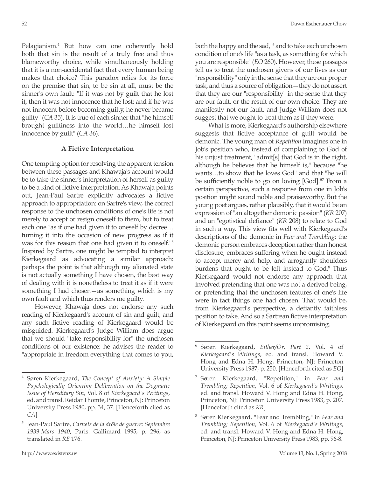Pelagianism.4 But how can one coherently hold both that sin is the result of a truly free and thus blameworthy choice, while simultaneously holding that it is a non-accidental fact that every human being makes that choice? This paradox relies for its force on the premise that sin, to be sin at all, must be the sinner's own fault: "If it was not by guilt that he lost it, then it was not innocence that he lost; and if he was not innocent before becoming guilty, he never became guilty" (*CA* 35). It is true of each sinner that "he himself brought guiltiness into the world…he himself lost innocence by guilt" (*CA* 36).

### **A Fictive Interpretation**

One tempting option for resolving the apparent tension between these passages and Khawaja's account would be to take the sinner's interpretation of herself as guilty to be a kind of fictive interpretation. As Khawaja points out, Jean-Paul Sartre explicitly advocates a fictive approach to appropriation: on Sartre's view, the correct response to the unchosen conditions of one's life is not merely to accept or resign oneself to them, but to treat each one "as if one had given it to oneself by decree… turning it into the occasion of new progress as if it was for this reason that one had given it to oneself."5 Inspired by Sartre, one might be tempted to interpret Kierkegaard as advocating a similar approach: perhaps the point is that although my alienated state is not actually something I have chosen, the best way of dealing with it is nonetheless to treat it as if it were something I had chosen—as something which is my own fault and which thus renders me guilty.

However, Khawaja does not endorse any such reading of Kierkegaard's account of sin and guilt, and any such fictive reading of Kierkegaard would be misguided. Kierkegaard's Judge William does argue that we should "take responsibility for" the unchosen conditions of our existence: he advises the reader to "appropriate in freedom everything that comes to you, both the happy and the sad,<sup>116</sup> and to take each unchosen condition of one's life "as a task, as something for which you are responsible" (*EO* 260). However, these passages tell us to treat the unchosen givens of our lives as our "responsibility" only in the sense that they are our proper task, and thus a source of obligation—they do not assert that they are our "responsibility" in the sense that they are our fault, or the result of our own choice. They are manifestly not our fault, and Judge William does not suggest that we ought to treat them as if they were.

What is more, Kierkegaard's authorship elsewhere suggests that fictive acceptance of guilt would be demonic. The young man of *Repetition* imagines one in Job's position who, instead of complaining to God of his unjust treatment, "admit[s] that God is in the right, although he believes that he himself is," because "he wants…to show that he loves God" and that "he will be sufficiently noble to go on loving [God]."<sup>7</sup> From a certain perspective, such a response from one in Job's position might sound noble and praiseworthy. But the young poet argues, rather plausibly, that it would be an expression of "an altogether demonic passion" (*KR* 207) and an "egotistical defiance" (*KR* 208) to relate to God in such a way. This view fits well with Kierkegaard's descriptions of the demonic in *Fear and Trembling*: the demonic person embraces deception rather than honest disclosure, embraces suffering when he ought instead to accept mercy and help, and arrogantly shoulders burdens that ought to be left instead to God.<sup>8</sup> Thus Kierkegaard would not endorse any approach that involved pretending that one was not a derived being, or pretending that the unchosen features of one's life were in fact things one had chosen. That would be, from Kierkegaard's perspective, a defiantly faithless position to take. And so a Sartrean fictive interpretation of Kierkegaard on this point seems unpromising.

<sup>4</sup> Søren Kierkegaard, *The Concept of Anxiety: A Simple Psychologically Orienting Deliberation on the Dogmatic Issue of Hereditary Sin*, Vol. 8 of *Kierkegaard's Writings*, ed. and transl. Reidar Thomte, Princeton, NJ: Princeton University Press 1980, pp. 34, 37. [Henceforth cited as *CA*]

<sup>5</sup> Jean-Paul Sartre, *Carnets de la drôle de guerre: Septembre 1939-Mars 1940*, Paris: Gallimard 1995, p. 296, as translated in *RE* 176.

<sup>6</sup> Søren Kierkegaard, *Either/Or, Part 2*, Vol. 4 of *Kierkegaard's Writings*, ed. and transl. Howard V. Hong and Edna H. Hong, Princeton, NJ: Princeton University Press 1987, p. 250. [Henceforth cited as *EO*]

<sup>7</sup> Søren Kierkegaard, "Repetition," in *Fear and Trembling; Repetition*, Vol. 6 of *Kierkegaard's Writings*, ed. and transl. Howard V. Hong and Edna H. Hong, Princeton, NJ: Princeton University Press 1983, p. 207. [Henceforth cited as *KR*]

<sup>8</sup> Søren Kierkegaard, "Fear and Trembling," in *Fear and Trembling; Repetition*, Vol. 6 of *Kierkegaard's Writings*, ed. and transl. Howard V. Hong and Edna H. Hong, Princeton, NJ: Princeton University Press 1983, pp. 96-8.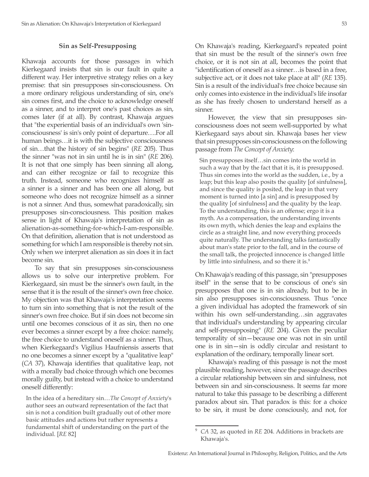#### **Sin as Self-Presupposing**

Khawaja accounts for those passages in which Kierkegaard insists that sin is our fault in quite a different way. Her interpretive strategy relies on a key premise: that sin presupposes sin-consciousness. On a more ordinary religious understanding of sin, one's sin comes first, and the choice to acknowledge oneself as a sinner, and to interpret one's past choices as sin, comes later (if at all). By contrast, Khawaja argues that "the experiential basis of an individual's own 'sinconsciousness' is sin's only point of departure….For all human beings…it is with the subjective consciousness of sin…that the history of sin begins" (*RE* 205). Thus the sinner "was not in sin until he is in sin" (*RE* 206). It is not that one simply has been sinning all along, and can either recognize or fail to recognize this truth. Instead, someone who recognizes himself as a sinner is a sinner and has been one all along, but someone who does not recognize himself as a sinner is not a sinner. And thus, somewhat paradoxically, sin presupposes sin-consciousness. This position makes sense in light of Khawaja's interpretation of sin as alienation-as-something-for-which-I-am-responsible. On that definition, alienation that is not understood as something for which I am responsible is thereby not sin. Only when we interpret alienation as sin does it in fact become sin.

To say that sin presupposes sin-consciousness allows us to solve our interpretive problem. For Kierkegaard, sin must be the sinner's own fault, in the sense that it is the result of the sinner's own free choice. My objection was that Khawaja's interpretation seems to turn sin into something that is not the result of the sinner's own free choice. But if sin does not become sin until one becomes conscious of it as sin, then no one ever becomes a sinner except by a free choice: namely, the free choice to understand oneself as a sinner. Thus, when Kierkegaard's Vigilius Haufniensis asserts that no one becomes a sinner except by a "qualitative leap" (*CA* 37), Khawaja identifies that qualitative leap, not with a morally bad choice through which one becomes morally guilty, but instead with a choice to understand oneself differently:

In the idea of a hereditary sin…*The Concept of Anxiety*'s author sees an outward representation of the fact that sin is not a condition built gradually out of other more basic attitudes and actions but rather represents a fundamental shift of understanding on the part of the individual. [*RE* 82]

On Khawaja's reading, Kierkegaard's repeated point that sin must be the result of the sinner's own free choice, or it is not sin at all, becomes the point that "identification of oneself as a sinner…is based in a free, subjective act, or it does not take place at all" (*RE* 135). Sin is a result of the individual's free choice because sin only comes into existence in the individual's life insofar as she has freely chosen to understand herself as a sinner.

However, the view that sin presupposes sinconsciousness does not seem well-supported by what Kierkegaard says about sin. Khawaja bases her view that sin presupposes sin-consciousness on the following passage from *The Concept of Anxiety*:

Sin presupposes itself…sin comes into the world in such a way that by the fact that it is, it is presupposed. Thus sin comes into the world as the sudden, i.e., by a leap; but this leap also posits the quality [of sinfulness], and since the quality is posited, the leap in that very moment is turned into [a sin] and is presupposed by the quality [of sinfulness] and the quality by the leap. To the understanding, this is an offense; ergo it is a myth. As a compensation, the understanding invents its own myth, which denies the leap and explains the circle as a straight line, and now everything proceeds quite naturally. The understanding talks fantastically about man's state prior to the fall, and in the course of the small talk, the projected innocence is changed little by little into sinfulness, and so there it is.<sup>9</sup>

On Khawaja's reading of this passage, sin "presupposes itself" in the sense that to be conscious of one's sin presupposes that one is in sin already, but to be in sin also presupposes sin-consciousness. Thus "once a given individual has adopted the framework of sin within his own self-understanding…sin aggravates that individual's understanding by appearing circular and self-presupposing" (*RE* 204). Given the peculiar temporality of sin—because one was not in sin until one is in sin—sin is oddly circular and resistant to explanation of the ordinary, temporally linear sort.

Khawaja's reading of this passage is not the most plausible reading, however, since the passage describes a circular relationship between sin and sinfulness, not between sin and sin-consciousness. It seems far more natural to take this passage to be describing a different paradox about sin. That paradox is this: for a choice to be sin, it must be done consciously, and not, for

<sup>9</sup> *CA* 32, as quoted in *RE* 204. Additions in brackets are Khawaja's.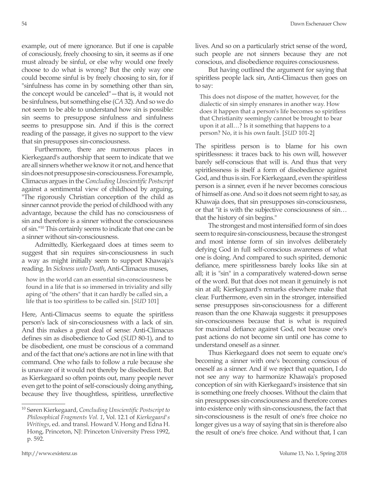example, out of mere ignorance. But if one is capable of consciously, freely choosing to sin, it seems as if one must already be sinful, or else why would one freely choose to do what is wrong? But the only way one could become sinful is by freely choosing to sin, for if "sinfulness has come in by something other than sin, the concept would be canceled"—that is, it would not be sinfulness, but something else (*CA* 32). And so we do not seem to be able to understand how sin is possible: sin seems to presuppose sinfulness and sinfulness seems to presuppose sin. And if this is the correct reading of the passage, it gives no support to the view that sin presupposes sin-consciousness.

Furthermore, there are numerous places in Kierkegaard's authorship that seem to indicate that we are all sinners whether we know it or not, and hence that sin does not presuppose sin-consciousness. For example, Climacus argues in the *Concluding Unscientific Postscript* against a sentimental view of childhood by arguing, "The rigorously Christian conception of the child as sinner cannot provide the period of childhood with any advantage, because the child has no consciousness of sin and therefore is a sinner without the consciousness of sin."10 This certainly seems to indicate that one can be a sinner without sin-consciousness.

Admittedly, Kierkegaard does at times seem to suggest that sin requires sin-consciousness in such a way as might initially seem to support Khawaja's reading. In *Sickness unto Death*, Anti-Climacus muses,

how in the world can an essential sin-consciousness be found in a life that is so immersed in triviality and silly aping of "the others" that it can hardly be called sin, a life that is too spiritless to be called sin. [*SUD* 101]

Here, Anti-Climacus seems to equate the spiritless person's lack of sin-consciousness with a lack of sin. And this makes a great deal of sense: Anti-Climacus defines sin as disobedience to God (*SUD* 80-1), and to be disobedient, one must be conscious of a command and of the fact that one's actions are not in line with that command. One who fails to follow a rule because she is unaware of it would not thereby be disobedient. But as Kierkegaard so often points out, many people never even get to the point of self-consciously doing anything, because they live thoughtless, spiritless, unreflective

lives. And so on a particularly strict sense of the word, such people are not sinners because they are not conscious, and disobedience requires consciousness.

But having outlined the argument for saying that spiritless people lack sin, Anti-Climacus then goes on to say:

This does not dispose of the matter, however, for the dialectic of sin simply ensnares in another way. How does it happen that a person's life becomes so spiritless that Christianity seemingly cannot be brought to bear upon it at all…? Is it something that happens to a person? No, it is his own fault. [*SUD* 101-2]

The spiritless person is to blame for his own spiritlessness: it traces back to his own will, however barely self-conscious that will is. And thus that very spiritlessness is itself a form of disobedience against God, and thus is sin. For Kierkegaard, even the spiritless person is a sinner, even if he never becomes conscious of himself as one. And so it does not seem right to say, as Khawaja does, that sin presupposes sin-consciousness, or that "it is with the subjective consciousness of sin… that the history of sin begins."

The strongest and most intensified form of sin does seem to require sin-consciousness, because the strongest and most intense form of sin involves deliberately defying God in full self-conscious awareness of what one is doing. And compared to such spirited, demonic defiance, mere spiritlessness barely looks like sin at all; it is "sin" in a comparatively watered-down sense of the word. But that does not mean it genuinely is not sin at all; Kierkegaard's remarks elsewhere make that clear. Furthermore, even sin in the stronger, intensified sense presupposes sin-consciousness for a different reason than the one Khawaja suggests: it presupposes sin-consciousness because that is what is required for maximal defiance against God, not because one's past actions do not become sin until one has come to understand oneself as a sinner.

Thus Kierkegaard does not seem to equate one's becoming a sinner with one's becoming conscious of oneself as a sinner. And if we reject that equation, I do not see any way to harmonize Khawaja's proposed conception of sin with Kierkegaard's insistence that sin is something one freely chooses. Without the claim that sin presupposes sin-consciousness and therefore comes into existence only with sin-consciousness, the fact that sin-consciousness is the result of one's free choice no longer gives us a way of saying that sin is therefore also the result of one's free choice. And without that, I can

<sup>10</sup> Søren Kierkegaard, *Concluding Unscientific Postscript to Philosophical Fragments Vol. 1*, Vol. 12.1 of *Kierkegaard's Writings*, ed. and transl. Howard V. Hong and Edna H. Hong, Princeton, NJ: Princeton University Press 1992, p. 592.